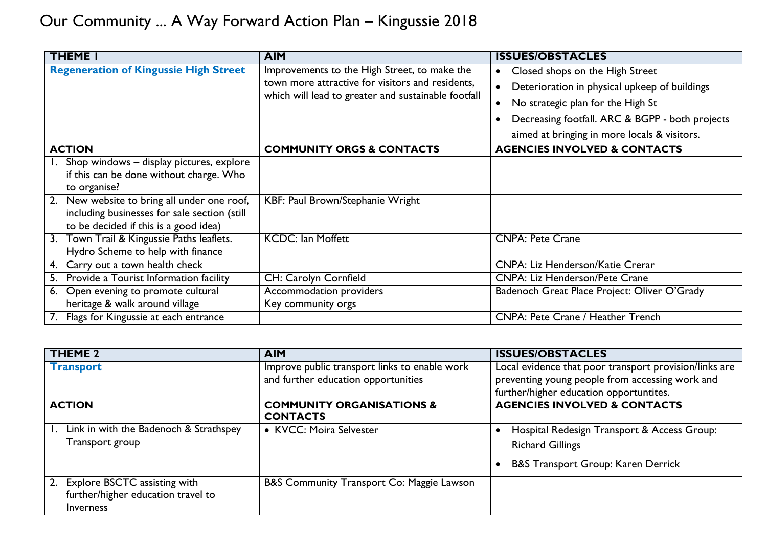| <b>THEME I</b>                                 | <b>AIM</b>                                                                                                                                              | <b>ISSUES/OBSTACLES</b>                         |
|------------------------------------------------|---------------------------------------------------------------------------------------------------------------------------------------------------------|-------------------------------------------------|
| <b>Regeneration of Kingussie High Street</b>   | Improvements to the High Street, to make the<br>town more attractive for visitors and residents,<br>which will lead to greater and sustainable footfall | Closed shops on the High Street<br>$\bullet$    |
|                                                |                                                                                                                                                         | Deterioration in physical upkeep of buildings   |
|                                                |                                                                                                                                                         | No strategic plan for the High St               |
|                                                |                                                                                                                                                         | Decreasing footfall. ARC & BGPP - both projects |
|                                                |                                                                                                                                                         | aimed at bringing in more locals & visitors.    |
| <b>ACTION</b>                                  | <b>COMMUNITY ORGS &amp; CONTACTS</b>                                                                                                                    | <b>AGENCIES INVOLVED &amp; CONTACTS</b>         |
| Shop windows - display pictures, explore       |                                                                                                                                                         |                                                 |
| if this can be done without charge. Who        |                                                                                                                                                         |                                                 |
| to organise?                                   |                                                                                                                                                         |                                                 |
| New website to bring all under one roof,<br>2. | KBF: Paul Brown/Stephanie Wright                                                                                                                        |                                                 |
| including businesses for sale section (still   |                                                                                                                                                         |                                                 |
| to be decided if this is a good idea)          |                                                                                                                                                         |                                                 |
| 3. Town Trail & Kingussie Paths leaflets.      | <b>KCDC: Ian Moffett</b>                                                                                                                                | <b>CNPA: Pete Crane</b>                         |
| Hydro Scheme to help with finance              |                                                                                                                                                         |                                                 |
| Carry out a town health check<br>4.            |                                                                                                                                                         | <b>CNPA: Liz Henderson/Katie Crerar</b>         |
| Provide a Tourist Information facility<br>5.   | CH: Carolyn Cornfield                                                                                                                                   | <b>CNPA: Liz Henderson/Pete Crane</b>           |
| 6. Open evening to promote cultural            | Accommodation providers                                                                                                                                 | Badenoch Great Place Project: Oliver O'Grady    |
| heritage & walk around village                 | Key community orgs                                                                                                                                      |                                                 |
| Flags for Kingussie at each entrance           |                                                                                                                                                         | <b>CNPA: Pete Crane / Heather Trench</b>        |

| <b>THEME 2</b>                                                                            | <b>AIM</b>                                                                           | <b>ISSUES/OBSTACLES</b>                                                                                                                              |
|-------------------------------------------------------------------------------------------|--------------------------------------------------------------------------------------|------------------------------------------------------------------------------------------------------------------------------------------------------|
| <b>Transport</b>                                                                          | Improve public transport links to enable work<br>and further education opportunities | Local evidence that poor transport provision/links are<br>preventing young people from accessing work and<br>further/higher education opportuntites. |
| <b>ACTION</b>                                                                             | <b>COMMUNITY ORGANISATIONS &amp;</b><br><b>CONTACTS</b>                              | <b>AGENCIES INVOLVED &amp; CONTACTS</b>                                                                                                              |
| Link in with the Badenoch & Strathspey<br>Transport group                                 | • KVCC: Moira Selvester                                                              | Hospital Redesign Transport & Access Group:<br><b>Richard Gillings</b><br><b>B&amp;S Transport Group: Karen Derrick</b>                              |
| 2. Explore BSCTC assisting with<br>further/higher education travel to<br><b>Inverness</b> | B&S Community Transport Co: Maggie Lawson                                            |                                                                                                                                                      |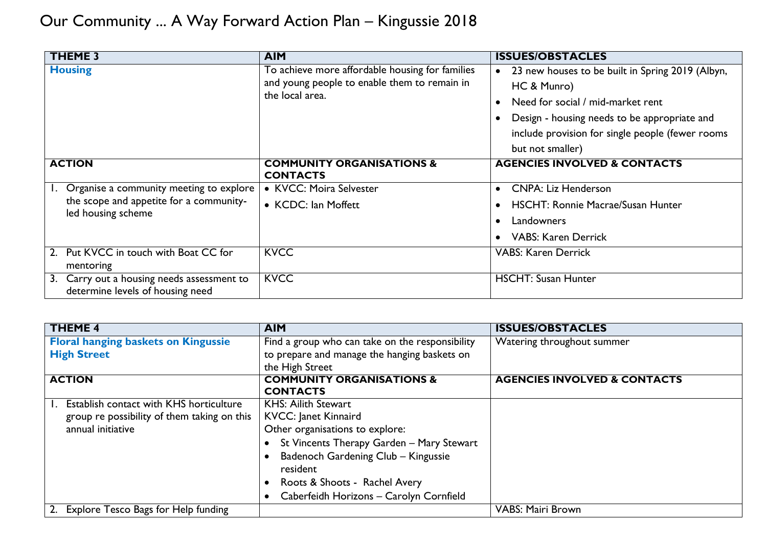| <b>THEME 3</b>                                                                                           | <b>AIM</b>                                                                                                         | <b>ISSUES/OBSTACLES</b>                                                                                                                                                                                                                   |
|----------------------------------------------------------------------------------------------------------|--------------------------------------------------------------------------------------------------------------------|-------------------------------------------------------------------------------------------------------------------------------------------------------------------------------------------------------------------------------------------|
| <b>Housing</b>                                                                                           | To achieve more affordable housing for families<br>and young people to enable them to remain in<br>the local area. | 23 new houses to be built in Spring 2019 (Albyn,<br>$\bullet$<br>HC & Munro)<br>Need for social / mid-market rent<br>Design - housing needs to be appropriate and<br>include provision for single people (fewer rooms<br>but not smaller) |
| <b>ACTION</b>                                                                                            | <b>COMMUNITY ORGANISATIONS &amp;</b><br><b>CONTACTS</b>                                                            | <b>AGENCIES INVOLVED &amp; CONTACTS</b>                                                                                                                                                                                                   |
| Organise a community meeting to explore<br>the scope and appetite for a community-<br>led housing scheme | • KVCC: Moira Selvester<br>• KCDC: Ian Moffett                                                                     | <b>CNPA: Liz Henderson</b><br><b>HSCHT: Ronnie Macrae/Susan Hunter</b><br>Landowners<br><b>VABS: Karen Derrick</b>                                                                                                                        |
| Put KVCC in touch with Boat CC for<br>mentoring                                                          | <b>KVCC</b>                                                                                                        | <b>VABS: Karen Derrick</b>                                                                                                                                                                                                                |
| Carry out a housing needs assessment to<br>3.<br>determine levels of housing need                        | <b>KVCC</b>                                                                                                        | <b>HSCHT: Susan Hunter</b>                                                                                                                                                                                                                |

| <b>THEME 4</b>                              | <b>AIM</b>                                      | <b>ISSUES/OBSTACLES</b>                 |
|---------------------------------------------|-------------------------------------------------|-----------------------------------------|
| <b>Floral hanging baskets on Kingussie</b>  | Find a group who can take on the responsibility | Watering throughout summer              |
| <b>High Street</b>                          | to prepare and manage the hanging baskets on    |                                         |
|                                             | the High Street                                 |                                         |
| <b>ACTION</b>                               | <b>COMMUNITY ORGANISATIONS &amp;</b>            | <b>AGENCIES INVOLVED &amp; CONTACTS</b> |
|                                             | <b>CONTACTS</b>                                 |                                         |
| Establish contact with KHS horticulture     | <b>KHS: Ailith Stewart</b>                      |                                         |
| group re possibility of them taking on this | <b>KVCC: Janet Kinnaird</b>                     |                                         |
| annual initiative                           | Other organisations to explore:                 |                                         |
|                                             | St Vincents Therapy Garden - Mary Stewart       |                                         |
|                                             | Badenoch Gardening Club - Kingussie             |                                         |
|                                             | resident                                        |                                         |
|                                             | Roots & Shoots - Rachel Avery                   |                                         |
|                                             | Caberfeidh Horizons - Carolyn Cornfield         |                                         |
| 2. Explore Tesco Bags for Help funding      |                                                 | <b>VABS: Mairi Brown</b>                |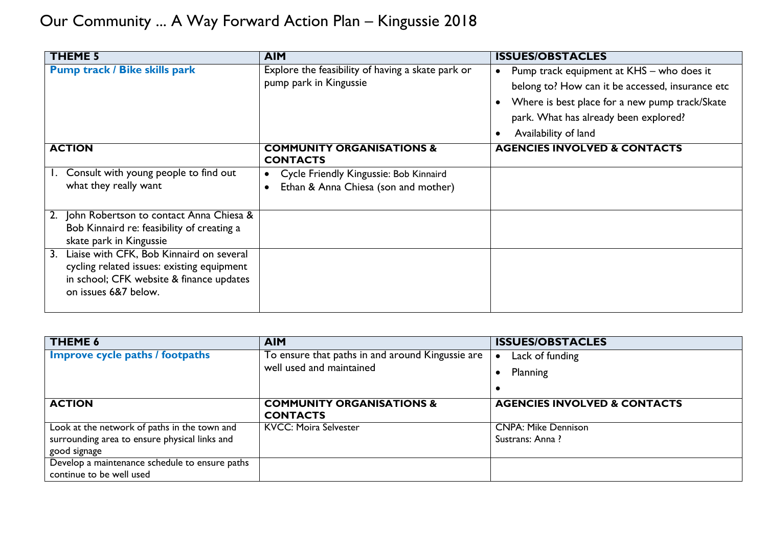| <b>THEME 5</b>                                                                                                                                                   | <b>AIM</b>                                                                     | <b>ISSUES/OBSTACLES</b>                                                                                                                                                                                                                                 |
|------------------------------------------------------------------------------------------------------------------------------------------------------------------|--------------------------------------------------------------------------------|---------------------------------------------------------------------------------------------------------------------------------------------------------------------------------------------------------------------------------------------------------|
| <b>Pump track / Bike skills park</b>                                                                                                                             | Explore the feasibility of having a skate park or<br>pump park in Kingussie    | Pump track equipment at KHS - who does it<br>$\bullet$<br>belong to? How can it be accessed, insurance etc<br>Where is best place for a new pump track/Skate<br>$\bullet$<br>park. What has already been explored?<br>Availability of land<br>$\bullet$ |
| <b>ACTION</b>                                                                                                                                                    | <b>COMMUNITY ORGANISATIONS &amp;</b><br><b>CONTACTS</b>                        | <b>AGENCIES INVOLVED &amp; CONTACTS</b>                                                                                                                                                                                                                 |
| Consult with young people to find out<br>what they really want                                                                                                   | Cycle Friendly Kingussie: Bob Kinnaird<br>Ethan & Anna Chiesa (son and mother) |                                                                                                                                                                                                                                                         |
| John Robertson to contact Anna Chiesa &<br>Bob Kinnaird re: feasibility of creating a<br>skate park in Kingussie                                                 |                                                                                |                                                                                                                                                                                                                                                         |
| Liaise with CFK, Bob Kinnaird on several<br>3.<br>cycling related issues: existing equipment<br>in school; CFK website & finance updates<br>on issues 6&7 below. |                                                                                |                                                                                                                                                                                                                                                         |

| <b>THEME 6</b>                                 | <b>AIM</b>                                              | <b>ISSUES/OBSTACLES</b>                 |
|------------------------------------------------|---------------------------------------------------------|-----------------------------------------|
| <b>Improve cycle paths / footpaths</b>         | To ensure that paths in and around Kingussie are        | Lack of funding                         |
|                                                | well used and maintained                                | Planning                                |
|                                                |                                                         |                                         |
| <b>ACTION</b>                                  | <b>COMMUNITY ORGANISATIONS &amp;</b><br><b>CONTACTS</b> | <b>AGENCIES INVOLVED &amp; CONTACTS</b> |
| Look at the network of paths in the town and   | <b>KVCC: Moira Selvester</b>                            | <b>CNPA: Mike Dennison</b>              |
| surrounding area to ensure physical links and  |                                                         | Sustrans: Anna?                         |
| good signage                                   |                                                         |                                         |
| Develop a maintenance schedule to ensure paths |                                                         |                                         |
| continue to be well used                       |                                                         |                                         |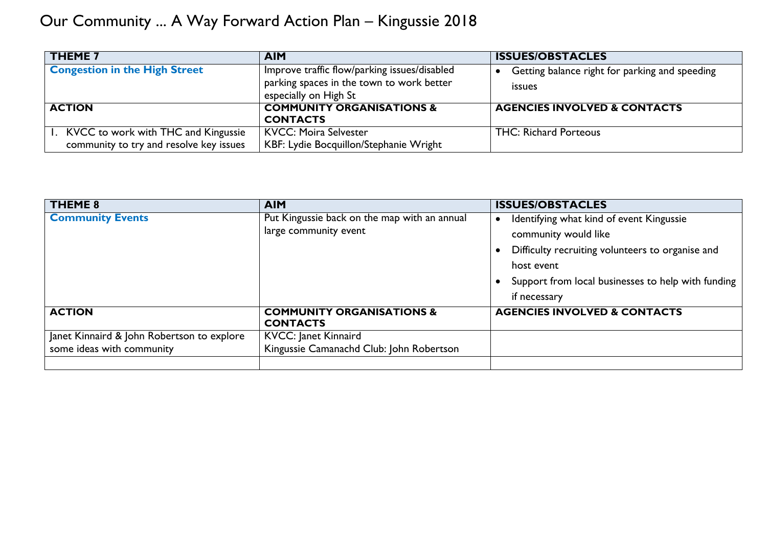| <b>THEME 7</b>                          | <b>AIM</b>                                   | <b>ISSUES/OBSTACLES</b>                        |
|-----------------------------------------|----------------------------------------------|------------------------------------------------|
| <b>Congestion in the High Street</b>    | Improve traffic flow/parking issues/disabled | Getting balance right for parking and speeding |
|                                         | parking spaces in the town to work better    | <i>issues</i>                                  |
|                                         | especially on High St                        |                                                |
| <b>ACTION</b>                           | <b>COMMUNITY ORGANISATIONS &amp;</b>         | <b>AGENCIES INVOLVED &amp; CONTACTS</b>        |
|                                         | <b>CONTACTS</b>                              |                                                |
| . KVCC to work with THC and Kingussie   | <b>KVCC: Moira Selvester</b>                 | <b>THC: Richard Porteous</b>                   |
| community to try and resolve key issues | KBF: Lydie Bocquillon/Stephanie Wright       |                                                |

| THEME 8                                    | <b>AIM</b>                                   | <b>ISSUES/OBSTACLES</b>                            |
|--------------------------------------------|----------------------------------------------|----------------------------------------------------|
| <b>Community Events</b>                    | Put Kingussie back on the map with an annual | Identifying what kind of event Kingussie           |
|                                            | large community event                        | community would like                               |
|                                            |                                              | Difficulty recruiting volunteers to organise and   |
|                                            |                                              | host event                                         |
|                                            |                                              | Support from local businesses to help with funding |
|                                            |                                              | if necessary                                       |
| <b>ACTION</b>                              | <b>COMMUNITY ORGANISATIONS &amp;</b>         | <b>AGENCIES INVOLVED &amp; CONTACTS</b>            |
|                                            | <b>CONTACTS</b>                              |                                                    |
| Janet Kinnaird & John Robertson to explore | <b>KVCC: Janet Kinnaird</b>                  |                                                    |
| some ideas with community                  | Kingussie Camanachd Club: John Robertson     |                                                    |
|                                            |                                              |                                                    |